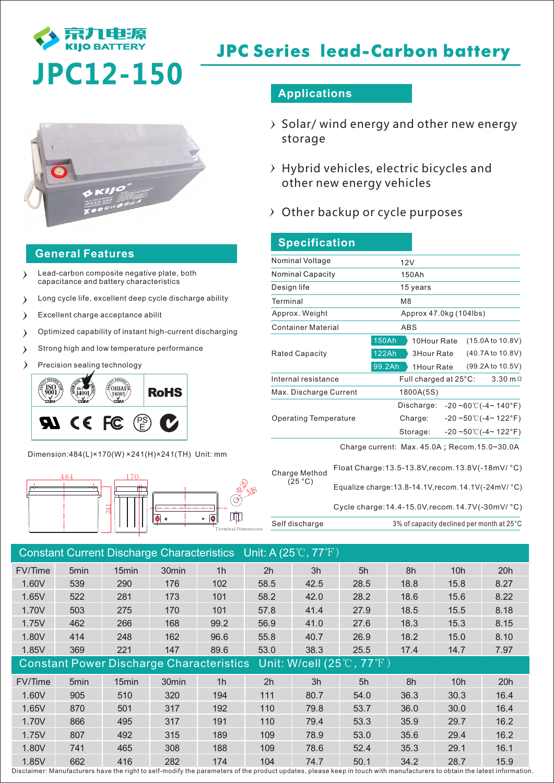

# **JPC Series lead-Carbon battery**

# **JPC12-150**



### **General Features**

- Lead-carbon composite negative plate, both capacitance and battery characteristics
- Long cycle life, excellent deep cycle discharge ability  $\rightarrow$
- $\rightarrow$ Excellent charge acceptance abilit
- Optimized capability of instant high-current discharging  $\lambda$
- Strong high and low temperature performance  $\lambda$
- Precision sealing technology



Dimension:484(L)×170(W) ×241(H)×241(TH) Unit: mm



### **Applications**

- $\rightarrow$  Solar/ wind energy and other new energy storage
- $\rightarrow$  Hybrid vehicles, electric bicycles and other new energy vehicles
- $\rightarrow$  Other backup or cycle purposes

| 150Ah                  |  |                                         |                                                       |                                                                                                                                |
|------------------------|--|-----------------------------------------|-------------------------------------------------------|--------------------------------------------------------------------------------------------------------------------------------|
| 15 years               |  |                                         |                                                       |                                                                                                                                |
| M <sub>8</sub>         |  |                                         |                                                       |                                                                                                                                |
| Approx 47.0kg (104lbs) |  |                                         |                                                       |                                                                                                                                |
| ABS                    |  |                                         |                                                       |                                                                                                                                |
| 150Ah                  |  |                                         |                                                       | (15.0A to 10.8V)                                                                                                               |
| 122Ah                  |  |                                         |                                                       | (40.7A to 10.8V)                                                                                                               |
| 99.2Ah                 |  |                                         |                                                       | (99.2A to 10.5V)                                                                                                               |
|                        |  |                                         |                                                       | $3.30 \text{ m}\Omega$                                                                                                         |
|                        |  |                                         |                                                       |                                                                                                                                |
|                        |  |                                         |                                                       |                                                                                                                                |
|                        |  |                                         |                                                       |                                                                                                                                |
|                        |  |                                         |                                                       |                                                                                                                                |
|                        |  | 12V<br>1800A(5S)<br>Charge:<br>Storage: | 10Hour Rate<br>3Hour Rate<br>1Hour Rate<br>Discharge: | Full charged at 25°C:<br>$-20 - 60^{\circ}$ ( $-4 - 140^{\circ}$ F)<br>$-20$ ~50°C(-4~122°F)<br>$-20 - 50^{\circ}$ (-4~ 122°F) |

Charge current: Max. 45.0A; Recom.15.0~30.0A

| Charge Method | Float Charge: 13.5-13.8V, recom. 13.8V(-18mV/ °C) |                                                                    |  |  |  |
|---------------|---------------------------------------------------|--------------------------------------------------------------------|--|--|--|
|               | (25 °C)                                           | Equalize charge: $13.8 - 14.1V$ , recom. $14.1V(-24mV)^{\circ}C$ ) |  |  |  |
|               |                                                   | Cycle charge: 14.4-15.0V recom. 14.7V(-30mV/ °C)                   |  |  |  |
|               | Self discharge                                    | 3% of capacity declined per month at 25°C                          |  |  |  |

|                                                 |                  |                   |                   |                | Constant Current Discharge Characteristics Unit: A $(25^{\circ}C, 77^{\circ}F)$ |      |      |      |                 |      |
|-------------------------------------------------|------------------|-------------------|-------------------|----------------|---------------------------------------------------------------------------------|------|------|------|-----------------|------|
| FV/Time                                         | 5 <sub>min</sub> | 15 <sub>min</sub> | 30 <sub>min</sub> | 1 <sub>h</sub> | 2h                                                                              | 3h   | 5h   | 8h   | 10h             | 20h  |
| 1.60V                                           | 539              | 290               | 176               | 102            | 58.5                                                                            | 42.5 | 28.5 | 18.8 | 15.8            | 8.27 |
| 1.65V                                           | 522              | 281               | 173               | 101            | 58.2                                                                            | 42.0 | 28.2 | 18.6 | 15.6            | 8.22 |
| 1.70V                                           | 503              | 275               | 170               | 101            | 57.8                                                                            | 41.4 | 27.9 | 18.5 | 15.5            | 8.18 |
| 1.75V                                           | 462              | 266               | 168               | 99.2           | 56.9                                                                            | 41.0 | 27.6 | 18.3 | 15.3            | 8.15 |
| 1.80V                                           | 414              | 248               | 162               | 96.6           | 55.8                                                                            | 40.7 | 26.9 | 18.2 | 15.0            | 8.10 |
| 1.85V                                           | 369              | 221               | 147               | 89.6           | 53.0                                                                            | 38.3 | 25.5 | 17.4 | 14.7            | 7.97 |
| <b>Constant Power Discharge Characteristics</b> |                  |                   |                   |                | Unit: W/cell (25℃, 77°F)                                                        |      |      |      |                 |      |
| <b>FV/Time</b>                                  | 5 <sub>min</sub> | 15 <sub>min</sub> | 30 <sub>min</sub> | 1 <sub>h</sub> | 2 <sub>h</sub>                                                                  | 3h   | 5h   | 8h   | 10 <sub>h</sub> | 20h  |
| 1.60V                                           | 905              | 510               | 320               | 194            | 111                                                                             | 80.7 | 54.0 | 36.3 | 30.3            | 16.4 |
| 1.65V                                           | 870              | 501               | 317               | 192            | 110                                                                             | 79.8 | 53.7 | 36.0 | 30.0            | 16.4 |
| 1.70V                                           | 866              | 495               | 317               | 191            | 110                                                                             | 79.4 | 53.3 | 35.9 | 29.7            | 16.2 |
| 1.75V                                           | 807              | 492               | 315               | 189            | 109                                                                             | 78.9 | 53.0 | 35.6 | 29.4            | 16.2 |
| 1.80V                                           | 741              | 465               | 308               | 188            | 109                                                                             | 78.6 | 52.4 | 35.3 | 29.1            | 16.1 |
| 1.85V                                           | 662              | 416               | 282               | 174            | 104                                                                             | 74.7 | 50.1 | 34.2 | 28.7            | 15.9 |

Disclaimer: Manufacturers have the right to self-modify the parameters of the product updates, please keep in touch with manufacturers to obtain the latest information.